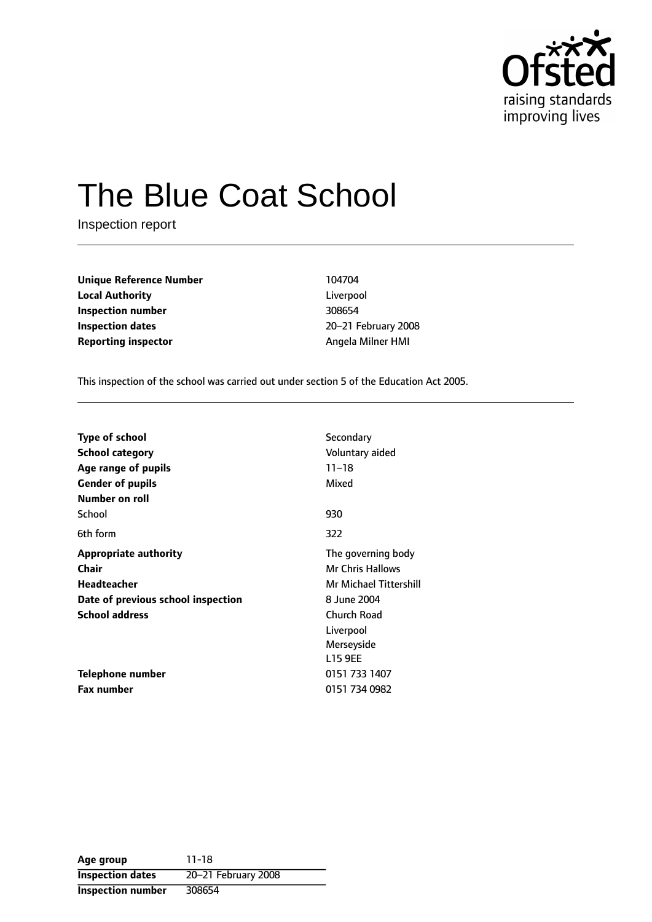

# The Blue Coat School

Inspection report

**Unique Reference Number** 104704 **Local Authority** Liverpool **Inspection number** 308654 **Inspection dates** 20-21 February 2008 **Reporting inspector** Angela Milner HMI

This inspection of the school was carried out under section 5 of the Education Act 2005.

| <b>Type of school</b><br><b>School category</b><br>Age range of pupils<br><b>Gender of pupils</b> | Secondary<br>Voluntary aided<br>$11 - 18$<br>Mixed |
|---------------------------------------------------------------------------------------------------|----------------------------------------------------|
| Number on roll                                                                                    |                                                    |
| School                                                                                            | 930                                                |
| 6th form                                                                                          | 322                                                |
| <b>Appropriate authority</b>                                                                      | The governing body                                 |
| Chair                                                                                             | <b>Mr Chris Hallows</b>                            |
| Headteacher                                                                                       | Mr Michael Tittershill                             |
| Date of previous school inspection                                                                | 8 June 2004                                        |
| <b>School address</b>                                                                             | Church Road                                        |
|                                                                                                   | Liverpool                                          |
|                                                                                                   | Merseyside                                         |
|                                                                                                   | L15 9EE                                            |
| Telephone number                                                                                  | 0151 733 1407                                      |
| <b>Fax number</b>                                                                                 | 0151 734 0982                                      |

**Age group** 11-18 **Inspection dates** 20-21 February 2008 **Inspection number** 308654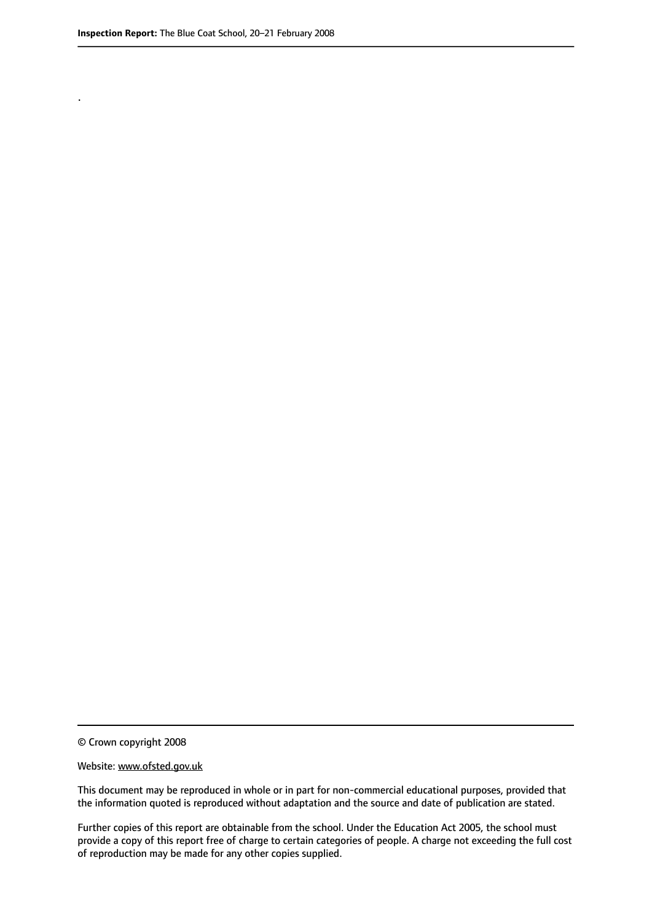.

© Crown copyright 2008

#### Website: www.ofsted.gov.uk

This document may be reproduced in whole or in part for non-commercial educational purposes, provided that the information quoted is reproduced without adaptation and the source and date of publication are stated.

Further copies of this report are obtainable from the school. Under the Education Act 2005, the school must provide a copy of this report free of charge to certain categories of people. A charge not exceeding the full cost of reproduction may be made for any other copies supplied.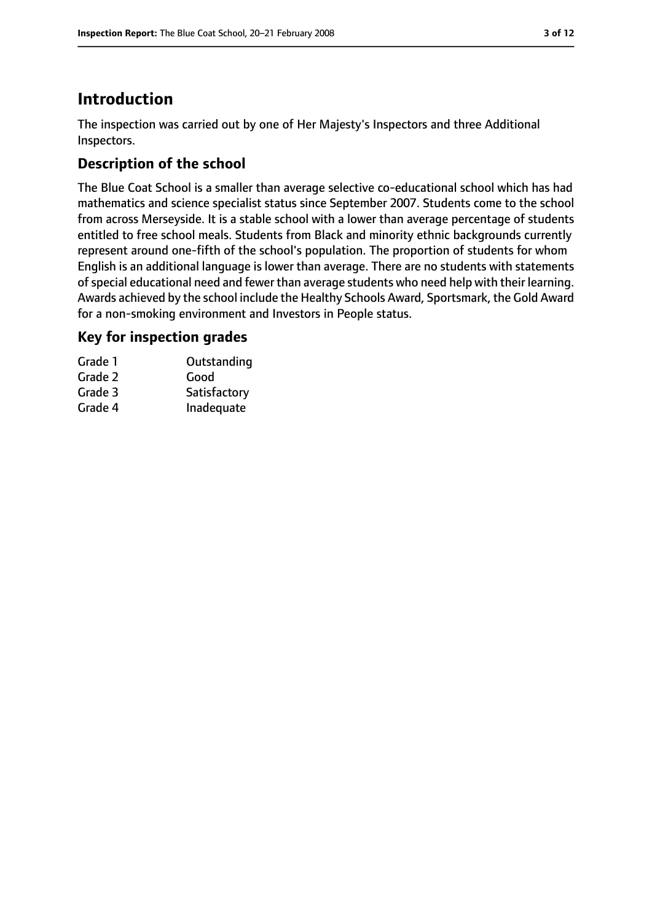# **Introduction**

The inspection was carried out by one of Her Majesty's Inspectors and three Additional Inspectors.

# **Description of the school**

The Blue Coat School is a smaller than average selective co-educational school which has had mathematics and science specialist status since September 2007. Students come to the school from across Merseyside. It is a stable school with a lower than average percentage of students entitled to free school meals. Students from Black and minority ethnic backgrounds currently represent around one-fifth of the school's population. The proportion of students for whom English is an additional language is lower than average. There are no students with statements ofspecial educational need and fewer than average students who need help with their learning. Awards achieved by the school include the Healthy Schools Award, Sportsmark, the Gold Award for a non-smoking environment and Investors in People status.

# **Key for inspection grades**

| Grade 1 | Outstanding  |
|---------|--------------|
| Grade 2 | Good         |
| Grade 3 | Satisfactory |
| Grade 4 | Inadequate   |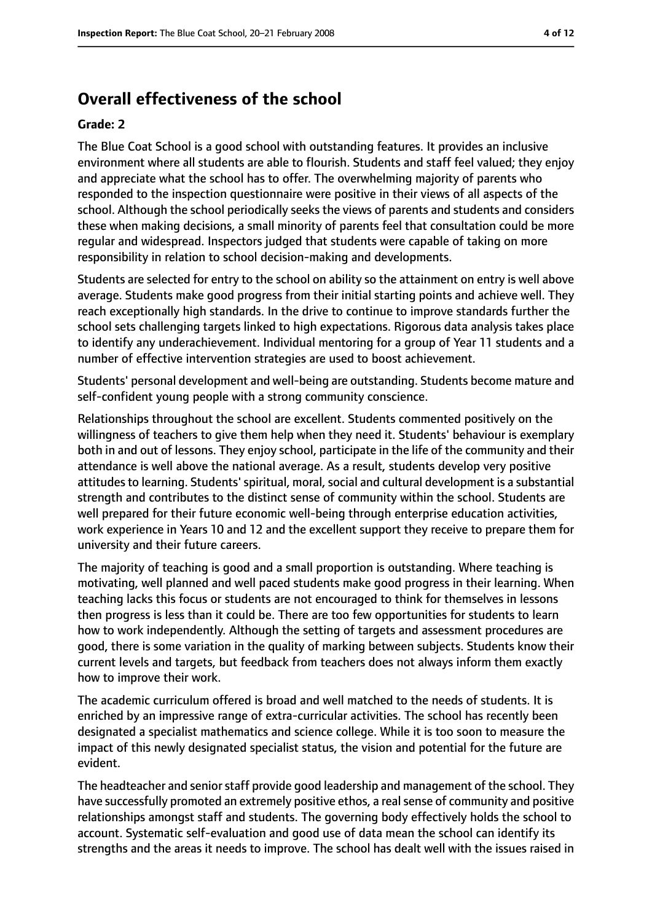# **Overall effectiveness of the school**

#### **Grade: 2**

The Blue Coat School is a good school with outstanding features. It provides an inclusive environment where all students are able to flourish. Students and staff feel valued; they enjoy and appreciate what the school has to offer. The overwhelming majority of parents who responded to the inspection questionnaire were positive in their views of all aspects of the school. Although the school periodically seeks the views of parents and students and considers these when making decisions, a small minority of parents feel that consultation could be more regular and widespread. Inspectors judged that students were capable of taking on more responsibility in relation to school decision-making and developments.

Students are selected for entry to the school on ability so the attainment on entry is well above average. Students make good progress from their initial starting points and achieve well. They reach exceptionally high standards. In the drive to continue to improve standards further the school sets challenging targets linked to high expectations. Rigorous data analysis takes place to identify any underachievement. Individual mentoring for a group of Year 11 students and a number of effective intervention strategies are used to boost achievement.

Students' personal development and well-being are outstanding. Students become mature and self-confident young people with a strong community conscience.

Relationships throughout the school are excellent. Students commented positively on the willingness of teachers to give them help when they need it. Students' behaviour is exemplary both in and out of lessons. They enjoy school, participate in the life of the community and their attendance is well above the national average. As a result, students develop very positive attitudes to learning. Students' spiritual, moral, social and cultural development is a substantial strength and contributes to the distinct sense of community within the school. Students are well prepared for their future economic well-being through enterprise education activities, work experience in Years 10 and 12 and the excellent support they receive to prepare them for university and their future careers.

The majority of teaching is good and a small proportion is outstanding. Where teaching is motivating, well planned and well paced students make good progress in their learning. When teaching lacks this focus or students are not encouraged to think for themselves in lessons then progress is less than it could be. There are too few opportunities for students to learn how to work independently. Although the setting of targets and assessment procedures are good, there is some variation in the quality of marking between subjects. Students know their current levels and targets, but feedback from teachers does not always inform them exactly how to improve their work.

The academic curriculum offered is broad and well matched to the needs of students. It is enriched by an impressive range of extra-curricular activities. The school has recently been designated a specialist mathematics and science college. While it is too soon to measure the impact of this newly designated specialist status, the vision and potential for the future are evident.

The headteacher and senior staff provide good leadership and management of the school. They have successfully promoted an extremely positive ethos, a real sense of community and positive relationships amongst staff and students. The governing body effectively holds the school to account. Systematic self-evaluation and good use of data mean the school can identify its strengths and the areas it needs to improve. The school has dealt well with the issues raised in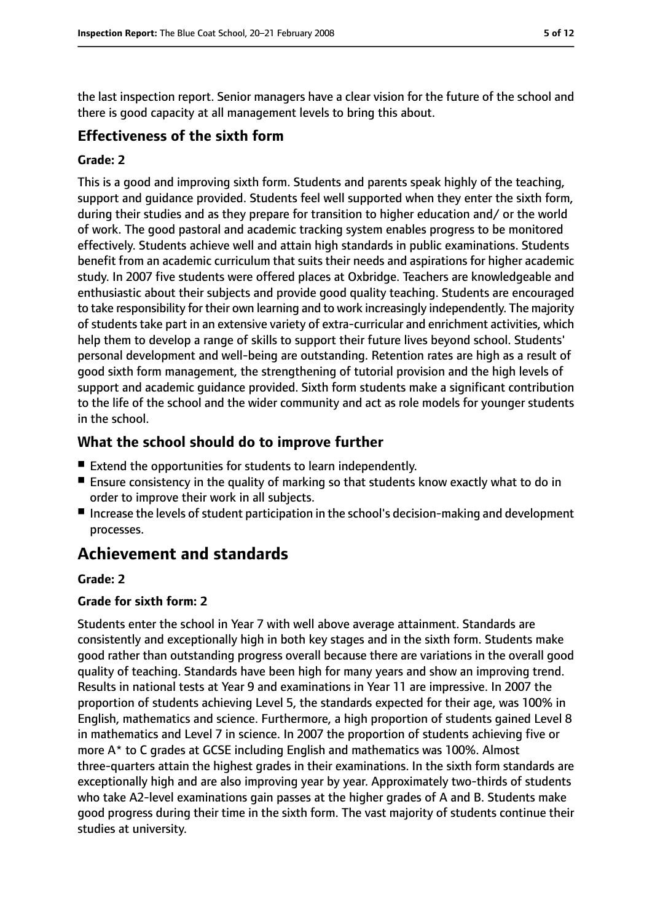the last inspection report. Senior managers have a clear vision for the future of the school and there is good capacity at all management levels to bring this about.

# **Effectiveness of the sixth form**

### **Grade: 2**

This is a good and improving sixth form. Students and parents speak highly of the teaching, support and guidance provided. Students feel well supported when they enter the sixth form, during their studies and as they prepare for transition to higher education and/ or the world of work. The good pastoral and academic tracking system enables progress to be monitored effectively. Students achieve well and attain high standards in public examinations. Students benefit from an academic curriculum that suits their needs and aspirations for higher academic study. In 2007 five students were offered places at Oxbridge. Teachers are knowledgeable and enthusiastic about their subjects and provide good quality teaching. Students are encouraged to take responsibility for their own learning and to work increasingly independently. The majority of students take part in an extensive variety of extra-curricular and enrichment activities, which help them to develop a range of skills to support their future lives beyond school. Students' personal development and well-being are outstanding. Retention rates are high as a result of good sixth form management, the strengthening of tutorial provision and the high levels of support and academic guidance provided. Sixth form students make a significant contribution to the life of the school and the wider community and act as role models for younger students in the school.

# **What the school should do to improve further**

- Extend the opportunities for students to learn independently.
- Ensure consistency in the quality of marking so that students know exactly what to do in order to improve their work in all subjects.
- $\blacksquare$  Increase the levels of student participation in the school's decision-making and development processes.

# **Achievement and standards**

#### **Grade: 2**

# **Grade for sixth form: 2**

Students enter the school in Year 7 with well above average attainment. Standards are consistently and exceptionally high in both key stages and in the sixth form. Students make good rather than outstanding progress overall because there are variations in the overall good quality of teaching. Standards have been high for many years and show an improving trend. Results in national tests at Year 9 and examinations in Year 11 are impressive. In 2007 the proportion of students achieving Level 5, the standards expected for their age, was 100% in English, mathematics and science. Furthermore, a high proportion of students gained Level 8 in mathematics and Level 7 in science. In 2007 the proportion of students achieving five or more A\* to C grades at GCSE including English and mathematics was 100%. Almost three-quarters attain the highest grades in their examinations. In the sixth form standards are exceptionally high and are also improving year by year. Approximately two-thirds of students who take A2-level examinations gain passes at the higher grades of A and B. Students make good progress during their time in the sixth form. The vast majority of students continue their studies at university.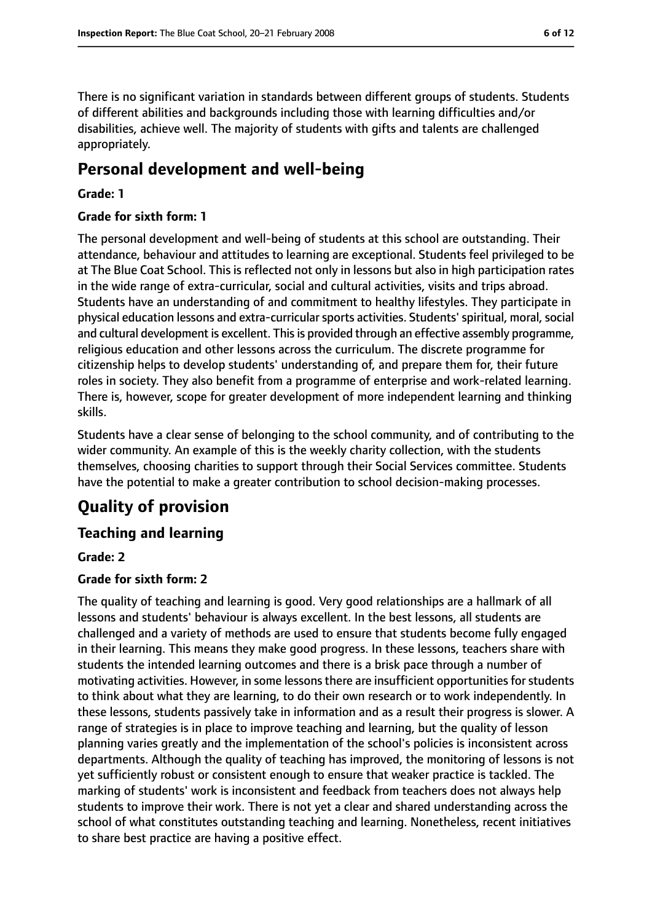There is no significant variation in standards between different groups of students. Students of different abilities and backgrounds including those with learning difficulties and/or disabilities, achieve well. The majority of students with gifts and talents are challenged appropriately.

# **Personal development and well-being**

#### **Grade: 1**

#### **Grade for sixth form: 1**

The personal development and well-being of students at this school are outstanding. Their attendance, behaviour and attitudes to learning are exceptional. Students feel privileged to be at The Blue Coat School. This is reflected not only in lessons but also in high participation rates in the wide range of extra-curricular, social and cultural activities, visits and trips abroad. Students have an understanding of and commitment to healthy lifestyles. They participate in physical education lessons and extra-curricular sports activities. Students' spiritual, moral, social and cultural development is excellent. This is provided through an effective assembly programme, religious education and other lessons across the curriculum. The discrete programme for citizenship helps to develop students' understanding of, and prepare them for, their future roles in society. They also benefit from a programme of enterprise and work-related learning. There is, however, scope for greater development of more independent learning and thinking skills.

Students have a clear sense of belonging to the school community, and of contributing to the wider community. An example of this is the weekly charity collection, with the students themselves, choosing charities to support through their Social Services committee. Students have the potential to make a greater contribution to school decision-making processes.

# **Quality of provision**

# **Teaching and learning**

#### **Grade: 2**

#### **Grade for sixth form: 2**

The quality of teaching and learning is good. Very good relationships are a hallmark of all lessons and students' behaviour is always excellent. In the best lessons, all students are challenged and a variety of methods are used to ensure that students become fully engaged in their learning. This means they make good progress. In these lessons, teachers share with students the intended learning outcomes and there is a brisk pace through a number of motivating activities. However, in some lessons there are insufficient opportunities for students to think about what they are learning, to do their own research or to work independently. In these lessons, students passively take in information and as a result their progress is slower. A range of strategies is in place to improve teaching and learning, but the quality of lesson planning varies greatly and the implementation of the school's policies is inconsistent across departments. Although the quality of teaching has improved, the monitoring of lessons is not yet sufficiently robust or consistent enough to ensure that weaker practice is tackled. The marking of students' work is inconsistent and feedback from teachers does not always help students to improve their work. There is not yet a clear and shared understanding across the school of what constitutes outstanding teaching and learning. Nonetheless, recent initiatives to share best practice are having a positive effect.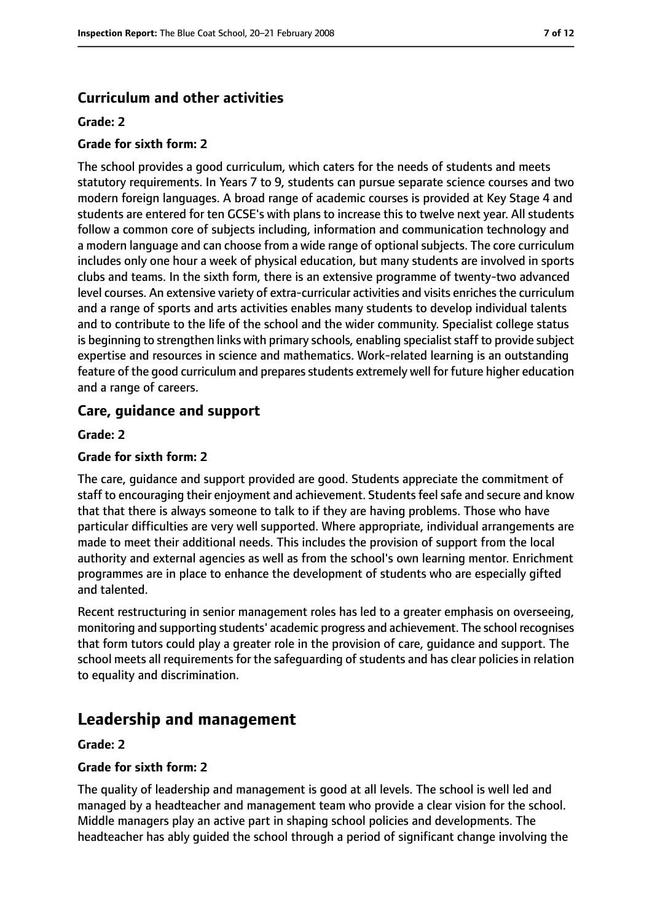# **Curriculum and other activities**

#### **Grade: 2**

#### **Grade for sixth form: 2**

The school provides a good curriculum, which caters for the needs of students and meets statutory requirements. In Years 7 to 9, students can pursue separate science courses and two modern foreign languages. A broad range of academic courses is provided at Key Stage 4 and students are entered for ten GCSE's with plans to increase this to twelve next year. All students follow a common core of subjects including, information and communication technology and a modern language and can choose from a wide range of optional subjects. The core curriculum includes only one hour a week of physical education, but many students are involved in sports clubs and teams. In the sixth form, there is an extensive programme of twenty-two advanced level courses. An extensive variety of extra-curricular activities and visits enriches the curriculum and a range of sports and arts activities enables many students to develop individual talents and to contribute to the life of the school and the wider community. Specialist college status is beginning to strengthen links with primary schools, enabling specialist staff to provide subject expertise and resources in science and mathematics. Work-related learning is an outstanding feature of the good curriculum and prepares students extremely well for future higher education and a range of careers.

#### **Care, guidance and support**

#### **Grade: 2**

#### **Grade for sixth form: 2**

The care, guidance and support provided are good. Students appreciate the commitment of staff to encouraging their enjoyment and achievement. Students feel safe and secure and know that that there is always someone to talk to if they are having problems. Those who have particular difficulties are very well supported. Where appropriate, individual arrangements are made to meet their additional needs. This includes the provision of support from the local authority and external agencies as well as from the school's own learning mentor. Enrichment programmes are in place to enhance the development of students who are especially gifted and talented.

Recent restructuring in senior management roles has led to a greater emphasis on overseeing, monitoring and supporting students' academic progress and achievement. The school recognises that form tutors could play a greater role in the provision of care, guidance and support. The school meets all requirements for the safeguarding of students and has clear policies in relation to equality and discrimination.

# **Leadership and management**

#### **Grade: 2**

#### **Grade for sixth form: 2**

The quality of leadership and management is good at all levels. The school is well led and managed by a headteacher and management team who provide a clear vision for the school. Middle managers play an active part in shaping school policies and developments. The headteacher has ably guided the school through a period of significant change involving the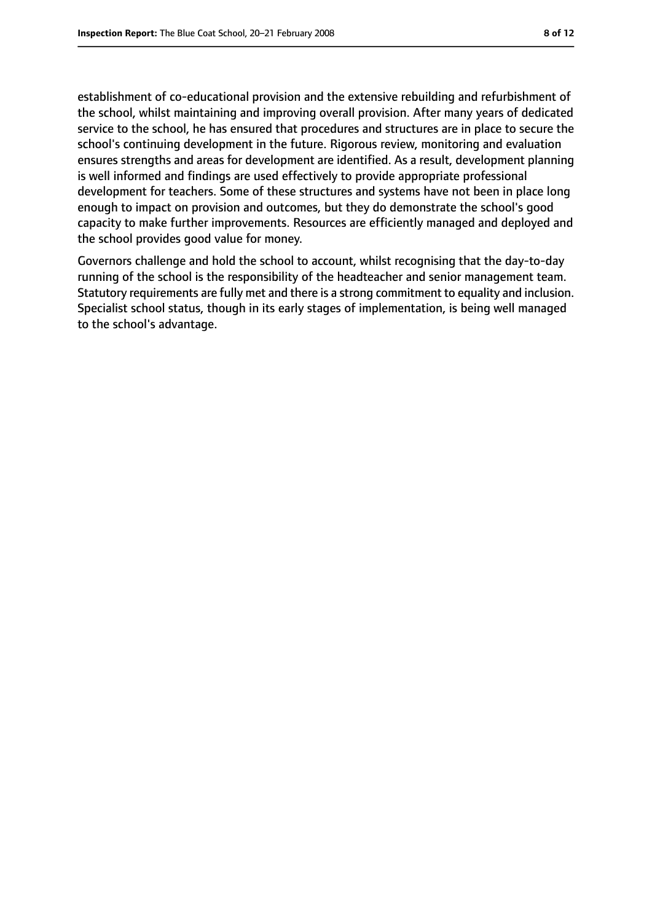establishment of co-educational provision and the extensive rebuilding and refurbishment of the school, whilst maintaining and improving overall provision. After many years of dedicated service to the school, he has ensured that procedures and structures are in place to secure the school's continuing development in the future. Rigorous review, monitoring and evaluation ensures strengths and areas for development are identified. As a result, development planning is well informed and findings are used effectively to provide appropriate professional development for teachers. Some of these structures and systems have not been in place long enough to impact on provision and outcomes, but they do demonstrate the school's good capacity to make further improvements. Resources are efficiently managed and deployed and the school provides good value for money.

Governors challenge and hold the school to account, whilst recognising that the day-to-day running of the school is the responsibility of the headteacher and senior management team. Statutory requirements are fully met and there is a strong commitment to equality and inclusion. Specialist school status, though in its early stages of implementation, is being well managed to the school's advantage.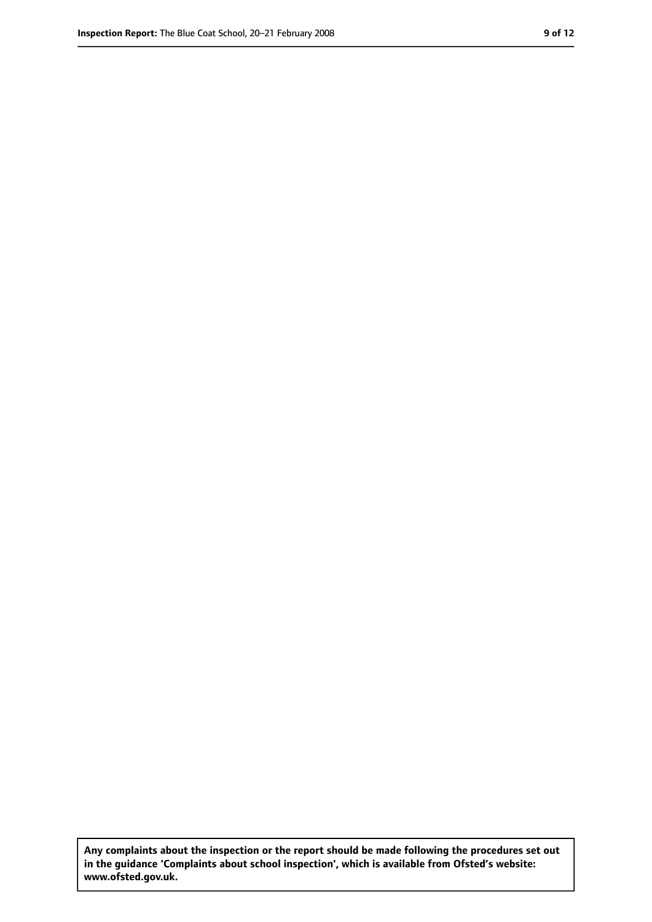**Any complaints about the inspection or the report should be made following the procedures set out in the guidance 'Complaints about school inspection', which is available from Ofsted's website: www.ofsted.gov.uk.**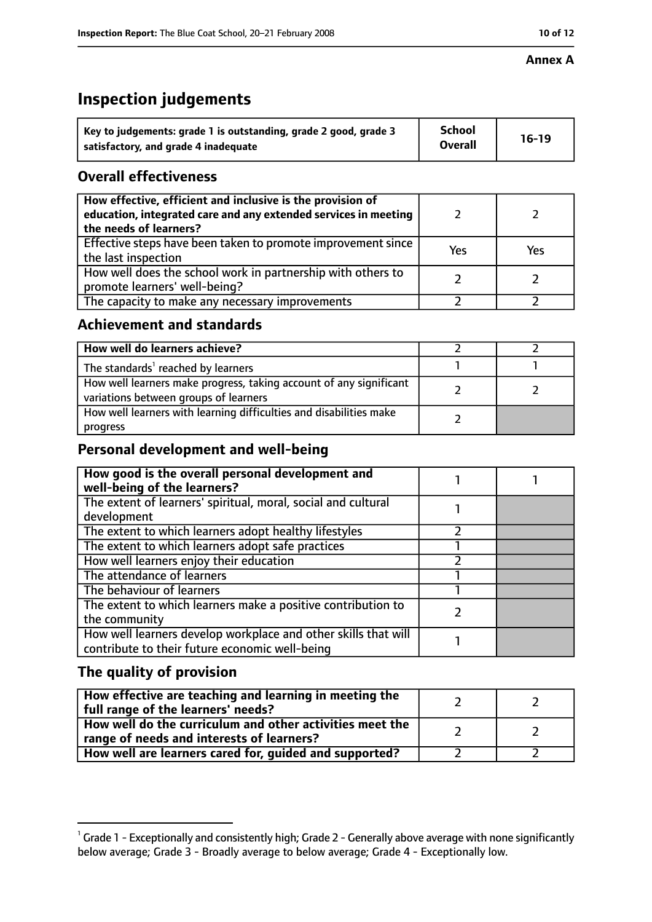#### **Annex A**

# **Inspection judgements**

| Key to judgements: grade 1 is outstanding, grade 2 good, grade 3 | <b>School</b>  | $16-19$ |
|------------------------------------------------------------------|----------------|---------|
| satisfactory, and grade 4 inadequate                             | <b>Overall</b> |         |

# **Overall effectiveness**

| How effective, efficient and inclusive is the provision of<br>education, integrated care and any extended services in meeting<br>the needs of learners? |     |     |
|---------------------------------------------------------------------------------------------------------------------------------------------------------|-----|-----|
| Effective steps have been taken to promote improvement since<br>the last inspection                                                                     | Yes | Yes |
| How well does the school work in partnership with others to<br>promote learners' well-being?                                                            |     |     |
| The capacity to make any necessary improvements                                                                                                         |     |     |

# **Achievement and standards**

| How well do learners achieve?                                                                               |  |
|-------------------------------------------------------------------------------------------------------------|--|
| The standards <sup>1</sup> reached by learners                                                              |  |
| How well learners make progress, taking account of any significant<br>variations between groups of learners |  |
| How well learners with learning difficulties and disabilities make<br>progress                              |  |

# **Personal development and well-being**

| How good is the overall personal development and<br>well-being of the learners? |  |
|---------------------------------------------------------------------------------|--|
| The extent of learners' spiritual, moral, social and cultural                   |  |
| development                                                                     |  |
| The extent to which learners adopt healthy lifestyles                           |  |
| The extent to which learners adopt safe practices                               |  |
| How well learners enjoy their education                                         |  |
| The attendance of learners                                                      |  |
| The behaviour of learners                                                       |  |
| The extent to which learners make a positive contribution to                    |  |
| the community                                                                   |  |
| How well learners develop workplace and other skills that will                  |  |
| contribute to their future economic well-being                                  |  |

# **The quality of provision**

| How effective are teaching and learning in meeting the<br>full range of the learners' needs?          |  |
|-------------------------------------------------------------------------------------------------------|--|
| How well do the curriculum and other activities meet the<br>range of needs and interests of learners? |  |
| How well are learners cared for, guided and supported?                                                |  |

 $^1$  Grade 1 - Exceptionally and consistently high; Grade 2 - Generally above average with none significantly below average; Grade 3 - Broadly average to below average; Grade 4 - Exceptionally low.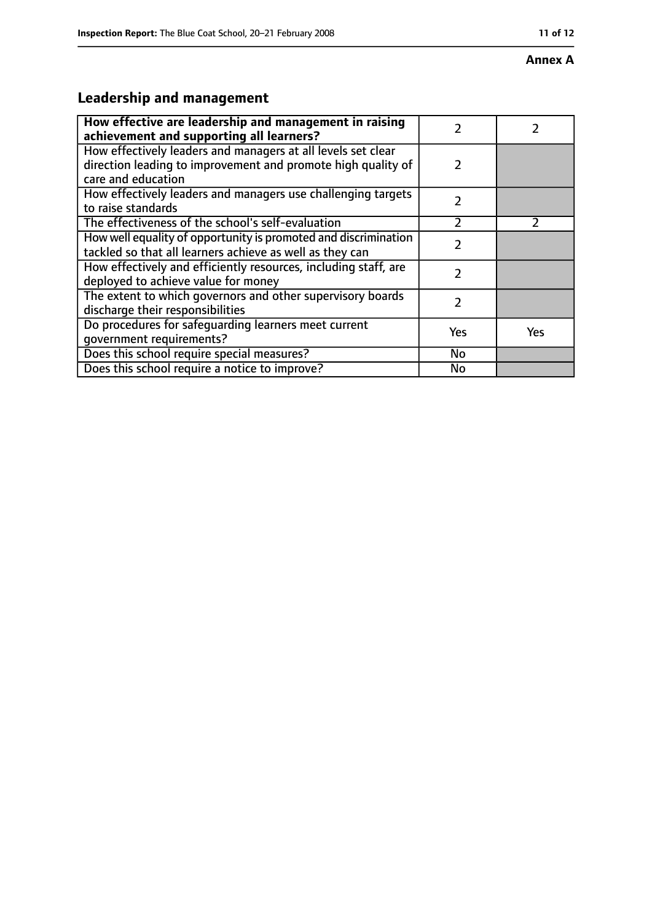#### **Annex A**

# **Leadership and management**

| How effective are leadership and management in raising<br>achievement and supporting all learners?                                                 | 7              |               |
|----------------------------------------------------------------------------------------------------------------------------------------------------|----------------|---------------|
| How effectively leaders and managers at all levels set clear<br>direction leading to improvement and promote high quality of<br>care and education | $\mathcal{P}$  |               |
| How effectively leaders and managers use challenging targets<br>to raise standards                                                                 | $\mathcal{P}$  |               |
| The effectiveness of the school's self-evaluation                                                                                                  | $\mathfrak{p}$ | $\mathcal{P}$ |
| How well equality of opportunity is promoted and discrimination<br>tackled so that all learners achieve as well as they can                        | 7              |               |
| How effectively and efficiently resources, including staff, are<br>deployed to achieve value for money                                             | 7              |               |
| The extent to which governors and other supervisory boards<br>discharge their responsibilities                                                     | 2              |               |
| Do procedures for safeguarding learners meet current<br>qovernment requirements?                                                                   | Yes            | Yes           |
| Does this school require special measures?                                                                                                         | No             |               |
| Does this school require a notice to improve?                                                                                                      | <b>No</b>      |               |